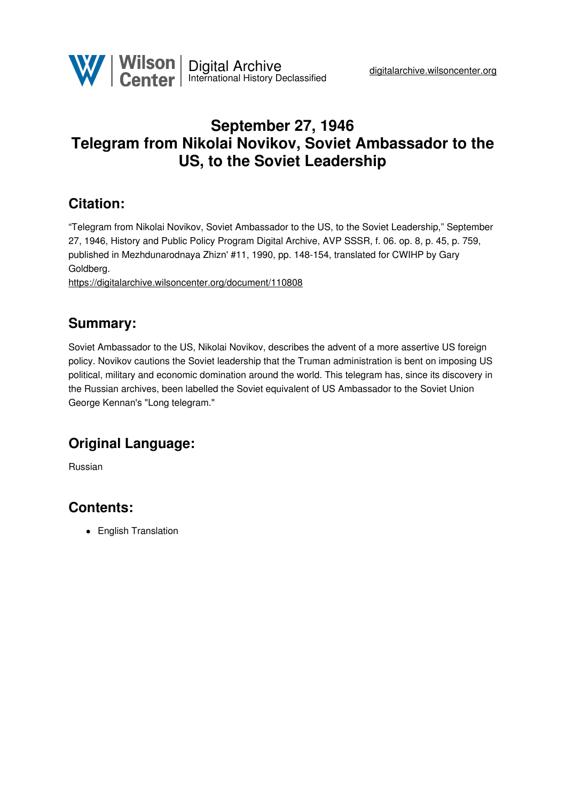

# **September 27, 1946 Telegram from Nikolai Novikov, Soviet Ambassador to the US, to the Soviet Leadership**

## **Citation:**

"Telegram from Nikolai Novikov, Soviet Ambassador to the US, to the Soviet Leadership," September 27, 1946, History and Public Policy Program Digital Archive, AVP SSSR, f. 06. op. 8, p. 45, p. 759, published in Mezhdunarodnaya Zhizn' #11, 1990, pp. 148-154, translated for CWIHP by Gary Goldberg.

<https://digitalarchive.wilsoncenter.org/document/110808>

### **Summary:**

Soviet Ambassador to the US, Nikolai Novikov, describes the advent of a more assertive US foreign policy. Novikov cautions the Soviet leadership that the Truman administration is bent on imposing US political, military and economic domination around the world. This telegram has, since its discovery in the Russian archives, been labelled the Soviet equivalent of US Ambassador to the Soviet Union George Kennan's "Long telegram."

# **Original Language:**

Russian

# **Contents:**

• English Translation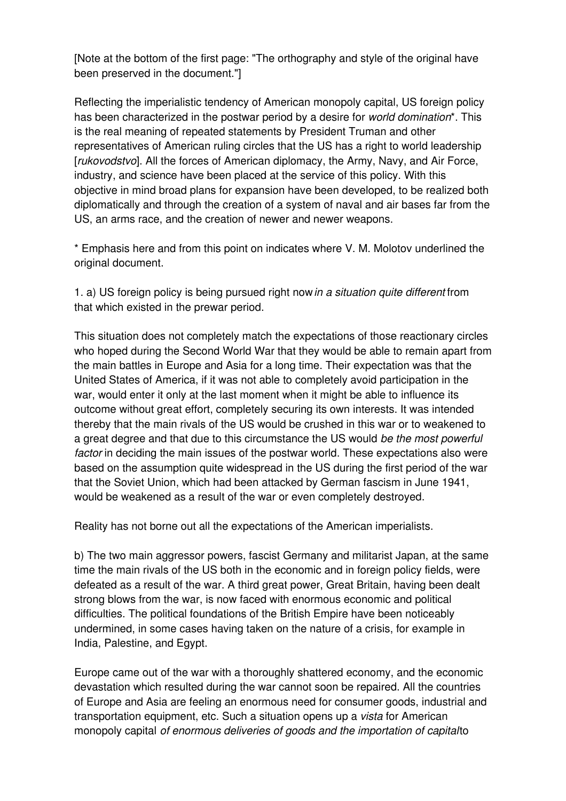[Note at the bottom of the first page: "The orthography and style of the original have been preserved in the document."]

Reflecting the imperialistic tendency of American monopoly capital, US foreign policy has been characterized in the postwar period by a desire for *world domination*\*. This is the real meaning of repeated statements by President Truman and other representatives of American ruling circles that the US has a right to world leadership [*rukovodstvo*]. All the forces of American diplomacy, the Army, Navy, and Air Force, industry, and science have been placed at the service of this policy. With this objective in mind broad plans for expansion have been developed, to be realized both diplomatically and through the creation of a system of naval and air bases far from the US, an arms race, and the creation of newer and newer weapons.

\* Emphasis here and from this point on indicates where V. M. Molotov underlined the original document.

1. a) US foreign policy is being pursued right now*in a situation quite different* from that which existed in the prewar period.

This situation does not completely match the expectations of those reactionary circles who hoped during the Second World War that they would be able to remain apart from the main battles in Europe and Asia for a long time. Their expectation was that the United States of America, if it was not able to completely avoid participation in the war, would enter it only at the last moment when it might be able to influence its outcome without great effort, completely securing its own interests. It was intended thereby that the main rivals of the US would be crushed in this war or to weakened to a great degree and that due to this circumstance the US would *be the most powerful factor* in deciding the main issues of the postwar world. These expectations also were based on the assumption quite widespread in the US during the first period of the war that the Soviet Union, which had been attacked by German fascism in June 1941, would be weakened as a result of the war or even completely destroyed.

Reality has not borne out all the expectations of the American imperialists.

b) The two main aggressor powers, fascist Germany and militarist Japan, at the same time the main rivals of the US both in the economic and in foreign policy fields, were defeated as a result of the war. A third great power, Great Britain, having been dealt strong blows from the war, is now faced with enormous economic and political difficulties. The political foundations of the British Empire have been noticeably undermined, in some cases having taken on the nature of a crisis, for example in India, Palestine, and Egypt.

Europe came out of the war with a thoroughly shattered economy, and the economic devastation which resulted during the war cannot soon be repaired. All the countries of Europe and Asia are feeling an enormous need for consumer goods, industrial and transportation equipment, etc. Such a situation opens up a *vista* for American monopoly capital *of enormous deliveries of goods and the importation of capital*to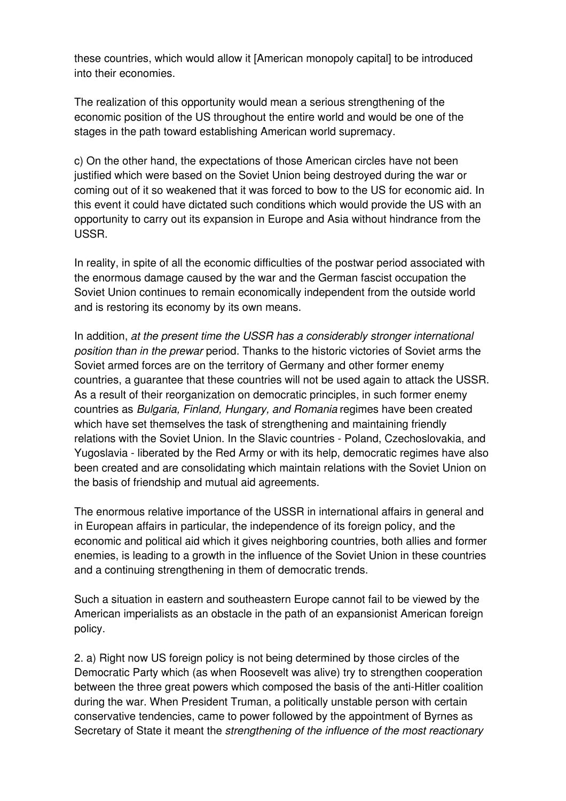these countries, which would allow it [American monopoly capital] to be introduced into their economies.

The realization of this opportunity would mean a serious strengthening of the economic position of the US throughout the entire world and would be one of the stages in the path toward establishing American world supremacy.

c) On the other hand, the expectations of those American circles have not been justified which were based on the Soviet Union being destroyed during the war or coming out of it so weakened that it was forced to bow to the US for economic aid. In this event it could have dictated such conditions which would provide the US with an opportunity to carry out its expansion in Europe and Asia without hindrance from the USSR.

In reality, in spite of all the economic difficulties of the postwar period associated with the enormous damage caused by the war and the German fascist occupation the Soviet Union continues to remain economically independent from the outside world and is restoring its economy by its own means.

In addition, *at the present time the USSR has a considerably stronger international position than in the prewar* period. Thanks to the historic victories of Soviet arms the Soviet armed forces are on the territory of Germany and other former enemy countries, a guarantee that these countries will not be used again to attack the USSR. As a result of their reorganization on democratic principles, in such former enemy countries as *Bulgaria, Finland, Hungary, and Romania* regimes have been created which have set themselves the task of strengthening and maintaining friendly relations with the Soviet Union. In the Slavic countries - Poland, Czechoslovakia, and Yugoslavia - liberated by the Red Army or with its help, democratic regimes have also been created and are consolidating which maintain relations with the Soviet Union on the basis of friendship and mutual aid agreements.

The enormous relative importance of the USSR in international affairs in general and in European affairs in particular, the independence of its foreign policy, and the economic and political aid which it gives neighboring countries, both allies and former enemies, is leading to a growth in the influence of the Soviet Union in these countries and a continuing strengthening in them of democratic trends.

Such a situation in eastern and southeastern Europe cannot fail to be viewed by the American imperialists as an obstacle in the path of an expansionist American foreign policy.

2. a) Right now US foreign policy is not being determined by those circles of the Democratic Party which (as when Roosevelt was alive) try to strengthen cooperation between the three great powers which composed the basis of the anti-Hitler coalition during the war. When President Truman, a politically unstable person with certain conservative tendencies, came to power followed by the appointment of Byrnes as Secretary of State it meant the *strengthening of the influence of the most reactionary*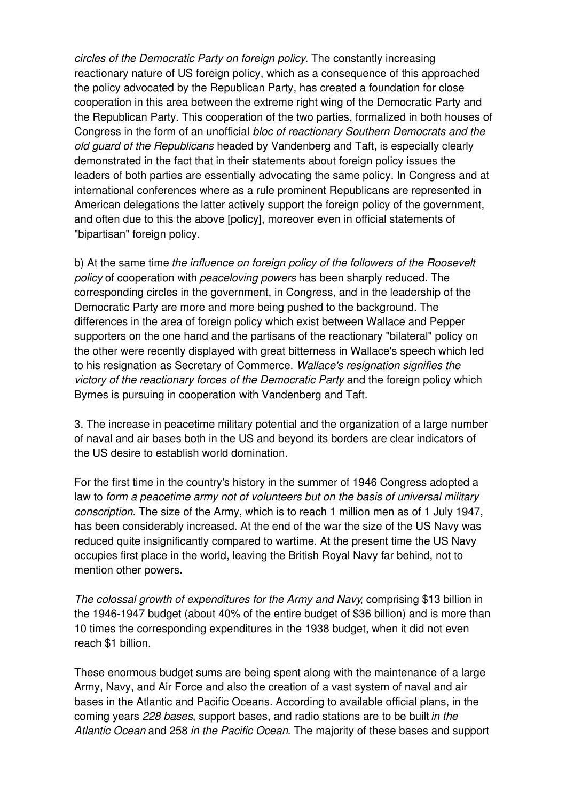*circles of the Democratic Party on foreign policy*. The constantly increasing reactionary nature of US foreign policy, which as a consequence of this approached the policy advocated by the Republican Party, has created a foundation for close cooperation in this area between the extreme right wing of the Democratic Party and the Republican Party. This cooperation of the two parties, formalized in both houses of Congress in the form of an unofficial *bloc of reactionary Southern Democrats and the old guard of the Republicans* headed by Vandenberg and Taft, is especially clearly demonstrated in the fact that in their statements about foreign policy issues the leaders of both parties are essentially advocating the same policy. In Congress and at international conferences where as a rule prominent Republicans are represented in American delegations the latter actively support the foreign policy of the government, and often due to this the above [policy], moreover even in official statements of "bipartisan" foreign policy.

b) At the same time *the influence on foreign policy of the followers of the Roosevelt policy* of cooperation with *peaceloving powers* has been sharply reduced. The corresponding circles in the government, in Congress, and in the leadership of the Democratic Party are more and more being pushed to the background. The differences in the area of foreign policy which exist between Wallace and Pepper supporters on the one hand and the partisans of the reactionary "bilateral" policy on the other were recently displayed with great bitterness in Wallace's speech which led to his resignation as Secretary of Commerce. *Wallace's resignation signifies the victory of the reactionary forces of the Democratic Party* and the foreign policy which Byrnes is pursuing in cooperation with Vandenberg and Taft.

3. The increase in peacetime military potential and the organization of a large number of naval and air bases both in the US and beyond its borders are clear indicators of the US desire to establish world domination.

For the first time in the country's history in the summer of 1946 Congress adopted a law to *form a peacetime army not of volunteers but on the basis of universal military conscription*. The size of the Army, which is to reach 1 million men as of 1 July 1947, has been considerably increased. At the end of the war the size of the US Navy was reduced quite insignificantly compared to wartime. At the present time the US Navy occupies first place in the world, leaving the British Royal Navy far behind, not to mention other powers.

*The colossal growth of expenditures for the Army and Navy*, comprising \$13 billion in the 1946-1947 budget (about 40% of the entire budget of \$36 billion) and is more than 10 times the corresponding expenditures in the 1938 budget, when it did not even reach \$1 billion.

These enormous budget sums are being spent along with the maintenance of a large Army, Navy, and Air Force and also the creation of a vast system of naval and air bases in the Atlantic and Pacific Oceans. According to available official plans, in the coming years *228 bases*, support bases, and radio stations are to be built *in the Atlantic Ocean* and 258 *in the Pacific Ocean*. The majority of these bases and support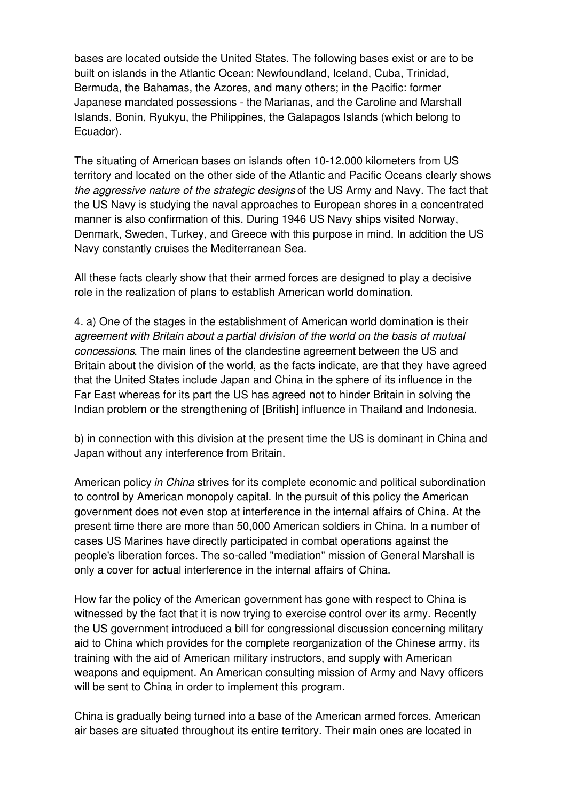bases are located outside the United States. The following bases exist or are to be built on islands in the Atlantic Ocean: Newfoundland, Iceland, Cuba, Trinidad, Bermuda, the Bahamas, the Azores, and many others; in the Pacific: former Japanese mandated possessions - the Marianas, and the Caroline and Marshall Islands, Bonin, Ryukyu, the Philippines, the Galapagos Islands (which belong to Ecuador).

The situating of American bases on islands often 10-12,000 kilometers from US territory and located on the other side of the Atlantic and Pacific Oceans clearly shows *the aggressive nature of the strategic designs* of the US Army and Navy. The fact that the US Navy is studying the naval approaches to European shores in a concentrated manner is also confirmation of this. During 1946 US Navy ships visited Norway, Denmark, Sweden, Turkey, and Greece with this purpose in mind. In addition the US Navy constantly cruises the Mediterranean Sea.

All these facts clearly show that their armed forces are designed to play a decisive role in the realization of plans to establish American world domination.

4. a) One of the stages in the establishment of American world domination is their *agreement with Britain about a partial division of the world on the basis of mutual concessions*. The main lines of the clandestine agreement between the US and Britain about the division of the world, as the facts indicate, are that they have agreed that the United States include Japan and China in the sphere of its influence in the Far East whereas for its part the US has agreed not to hinder Britain in solving the Indian problem or the strengthening of [British] influence in Thailand and Indonesia.

b) in connection with this division at the present time the US is dominant in China and Japan without any interference from Britain.

American policy *in China* strives for its complete economic and political subordination to control by American monopoly capital. In the pursuit of this policy the American government does not even stop at interference in the internal affairs of China. At the present time there are more than 50,000 American soldiers in China. In a number of cases US Marines have directly participated in combat operations against the people's liberation forces. The so-called "mediation" mission of General Marshall is only a cover for actual interference in the internal affairs of China.

How far the policy of the American government has gone with respect to China is witnessed by the fact that it is now trying to exercise control over its army. Recently the US government introduced a bill for congressional discussion concerning military aid to China which provides for the complete reorganization of the Chinese army, its training with the aid of American military instructors, and supply with American weapons and equipment. An American consulting mission of Army and Navy officers will be sent to China in order to implement this program.

China is gradually being turned into a base of the American armed forces. American air bases are situated throughout its entire territory. Their main ones are located in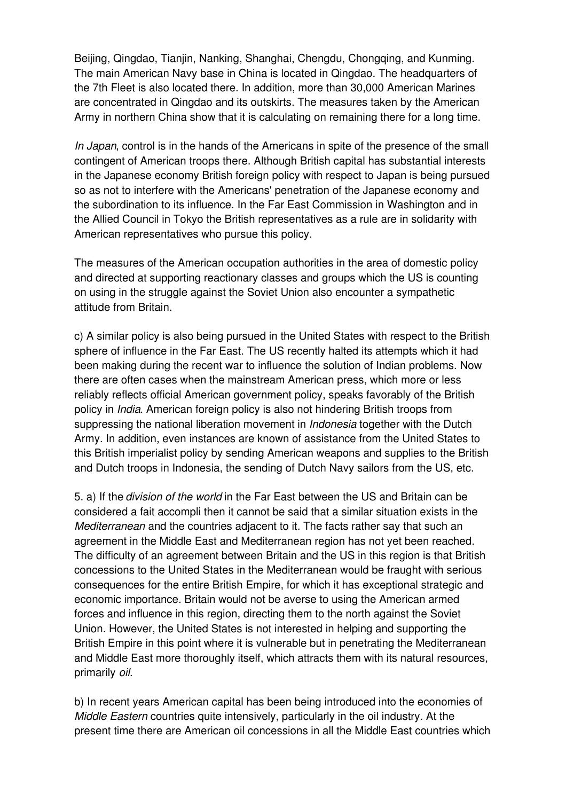Beijing, Qingdao, Tianjin, Nanking, Shanghai, Chengdu, Chongqing, and Kunming. The main American Navy base in China is located in Qingdao. The headquarters of the 7th Fleet is also located there. In addition, more than 30,000 American Marines are concentrated in Qingdao and its outskirts. The measures taken by the American Army in northern China show that it is calculating on remaining there for a long time.

*In Japan*, control is in the hands of the Americans in spite of the presence of the small contingent of American troops there. Although British capital has substantial interests in the Japanese economy British foreign policy with respect to Japan is being pursued so as not to interfere with the Americans' penetration of the Japanese economy and the subordination to its influence. In the Far East Commission in Washington and in the Allied Council in Tokyo the British representatives as a rule are in solidarity with American representatives who pursue this policy.

The measures of the American occupation authorities in the area of domestic policy and directed at supporting reactionary classes and groups which the US is counting on using in the struggle against the Soviet Union also encounter a sympathetic attitude from Britain.

c) A similar policy is also being pursued in the United States with respect to the British sphere of influence in the Far East. The US recently halted its attempts which it had been making during the recent war to influence the solution of Indian problems. Now there are often cases when the mainstream American press, which more or less reliably reflects official American government policy, speaks favorably of the British policy in *India*. American foreign policy is also not hindering British troops from suppressing the national liberation movement in *Indonesia* together with the Dutch Army. In addition, even instances are known of assistance from the United States to this British imperialist policy by sending American weapons and supplies to the British and Dutch troops in Indonesia, the sending of Dutch Navy sailors from the US, etc.

5. a) If the *division of the world* in the Far East between the US and Britain can be considered a fait accompli then it cannot be said that a similar situation exists in the *Mediterranean* and the countries adjacent to it. The facts rather say that such an agreement in the Middle East and Mediterranean region has not yet been reached. The difficulty of an agreement between Britain and the US in this region is that British concessions to the United States in the Mediterranean would be fraught with serious consequences for the entire British Empire, for which it has exceptional strategic and economic importance. Britain would not be averse to using the American armed forces and influence in this region, directing them to the north against the Soviet Union. However, the United States is not interested in helping and supporting the British Empire in this point where it is vulnerable but in penetrating the Mediterranean and Middle East more thoroughly itself, which attracts them with its natural resources, primarily *oil*.

b) In recent years American capital has been being introduced into the economies of *Middle Eastern* countries quite intensively, particularly in the oil industry. At the present time there are American oil concessions in all the Middle East countries which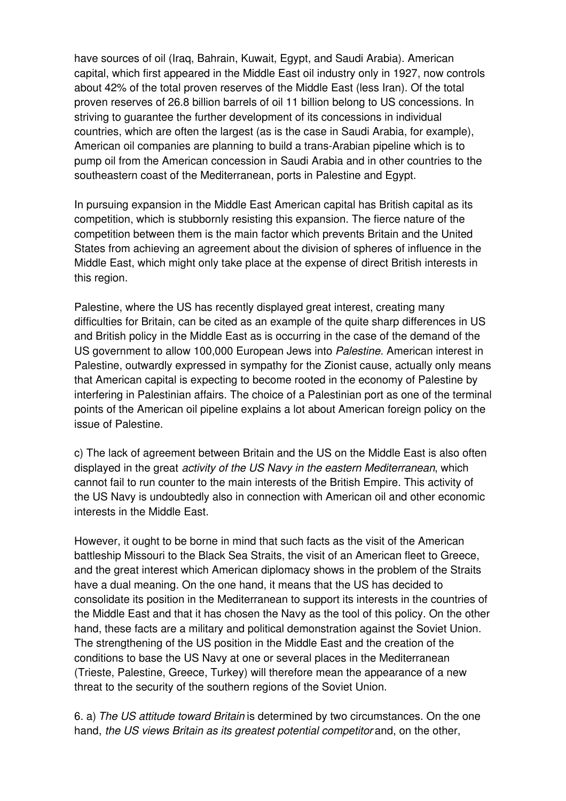have sources of oil (Iraq, Bahrain, Kuwait, Egypt, and Saudi Arabia). American capital, which first appeared in the Middle East oil industry only in 1927, now controls about 42% of the total proven reserves of the Middle East (less Iran). Of the total proven reserves of 26.8 billion barrels of oil 11 billion belong to US concessions. In striving to guarantee the further development of its concessions in individual countries, which are often the largest (as is the case in Saudi Arabia, for example), American oil companies are planning to build a trans-Arabian pipeline which is to pump oil from the American concession in Saudi Arabia and in other countries to the southeastern coast of the Mediterranean, ports in Palestine and Egypt.

In pursuing expansion in the Middle East American capital has British capital as its competition, which is stubbornly resisting this expansion. The fierce nature of the competition between them is the main factor which prevents Britain and the United States from achieving an agreement about the division of spheres of influence in the Middle East, which might only take place at the expense of direct British interests in this region.

Palestine, where the US has recently displayed great interest, creating many difficulties for Britain, can be cited as an example of the quite sharp differences in US and British policy in the Middle East as is occurring in the case of the demand of the US government to allow 100,000 European Jews into *Palestine*. American interest in Palestine, outwardly expressed in sympathy for the Zionist cause, actually only means that American capital is expecting to become rooted in the economy of Palestine by interfering in Palestinian affairs. The choice of a Palestinian port as one of the terminal points of the American oil pipeline explains a lot about American foreign policy on the issue of Palestine.

c) The lack of agreement between Britain and the US on the Middle East is also often displayed in the great *activity of the US Navy in the eastern Mediterranean*, which cannot fail to run counter to the main interests of the British Empire. This activity of the US Navy is undoubtedly also in connection with American oil and other economic interests in the Middle East.

However, it ought to be borne in mind that such facts as the visit of the American battleship Missouri to the Black Sea Straits, the visit of an American fleet to Greece, and the great interest which American diplomacy shows in the problem of the Straits have a dual meaning. On the one hand, it means that the US has decided to consolidate its position in the Mediterranean to support its interests in the countries of the Middle East and that it has chosen the Navy as the tool of this policy. On the other hand, these facts are a military and political demonstration against the Soviet Union. The strengthening of the US position in the Middle East and the creation of the conditions to base the US Navy at one or several places in the Mediterranean (Trieste, Palestine, Greece, Turkey) will therefore mean the appearance of a new threat to the security of the southern regions of the Soviet Union.

6. a) *The US attitude toward Britain* is determined by two circumstances. On the one hand, *the US views Britain as its greatest potential competitor* and, on the other,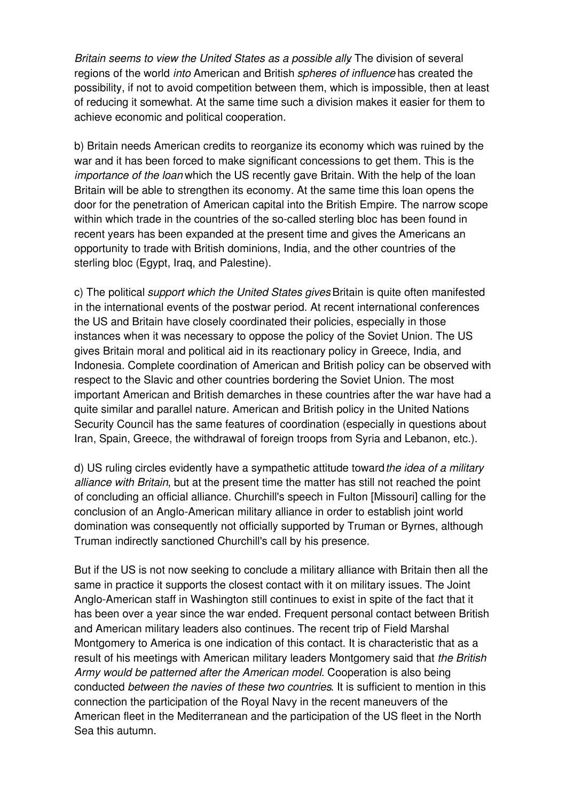*Britain seems to view the United States as a possible ally*. The division of several regions of the world *into* American and British *spheres of influence* has created the possibility, if not to avoid competition between them, which is impossible, then at least of reducing it somewhat. At the same time such a division makes it easier for them to achieve economic and political cooperation.

b) Britain needs American credits to reorganize its economy which was ruined by the war and it has been forced to make significant concessions to get them. This is the *importance of the loan* which the US recently gave Britain. With the help of the loan Britain will be able to strengthen its economy. At the same time this loan opens the door for the penetration of American capital into the British Empire. The narrow scope within which trade in the countries of the so-called sterling bloc has been found in recent years has been expanded at the present time and gives the Americans an opportunity to trade with British dominions, India, and the other countries of the sterling bloc (Egypt, Iraq, and Palestine).

c) The political *support which the United States gives* Britain is quite often manifested in the international events of the postwar period. At recent international conferences the US and Britain have closely coordinated their policies, especially in those instances when it was necessary to oppose the policy of the Soviet Union. The US gives Britain moral and political aid in its reactionary policy in Greece, India, and Indonesia. Complete coordination of American and British policy can be observed with respect to the Slavic and other countries bordering the Soviet Union. The most important American and British demarches in these countries after the war have had a quite similar and parallel nature. American and British policy in the United Nations Security Council has the same features of coordination (especially in questions about Iran, Spain, Greece, the withdrawal of foreign troops from Syria and Lebanon, etc.).

d) US ruling circles evidently have a sympathetic attitude toward*the idea of a military alliance with Britain*, but at the present time the matter has still not reached the point of concluding an official alliance. Churchill's speech in Fulton [Missouri] calling for the conclusion of an Anglo-American military alliance in order to establish joint world domination was consequently not officially supported by Truman or Byrnes, although Truman indirectly sanctioned Churchill's call by his presence.

But if the US is not now seeking to conclude a military alliance with Britain then all the same in practice it supports the closest contact with it on military issues. The Joint Anglo-American staff in Washington still continues to exist in spite of the fact that it has been over a year since the war ended. Frequent personal contact between British and American military leaders also continues. The recent trip of Field Marshal Montgomery to America is one indication of this contact. It is characteristic that as a result of his meetings with American military leaders Montgomery said that *the British Army would be patterned after the American model*. Cooperation is also being conducted *between the navies of these two countries*. It is sufficient to mention in this connection the participation of the Royal Navy in the recent maneuvers of the American fleet in the Mediterranean and the participation of the US fleet in the North Sea this autumn.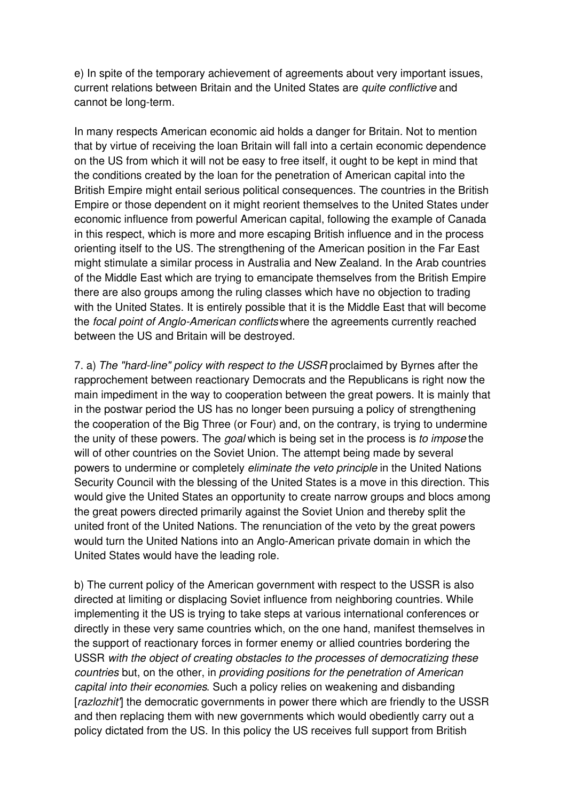e) In spite of the temporary achievement of agreements about very important issues, current relations between Britain and the United States are *quite conflictive* and cannot be long-term.

In many respects American economic aid holds a danger for Britain. Not to mention that by virtue of receiving the loan Britain will fall into a certain economic dependence on the US from which it will not be easy to free itself, it ought to be kept in mind that the conditions created by the loan for the penetration of American capital into the British Empire might entail serious political consequences. The countries in the British Empire or those dependent on it might reorient themselves to the United States under economic influence from powerful American capital, following the example of Canada in this respect, which is more and more escaping British influence and in the process orienting itself to the US. The strengthening of the American position in the Far East might stimulate a similar process in Australia and New Zealand. In the Arab countries of the Middle East which are trying to emancipate themselves from the British Empire there are also groups among the ruling classes which have no objection to trading with the United States. It is entirely possible that it is the Middle East that will become the *focal point of Anglo-American conflicts* where the agreements currently reached between the US and Britain will be destroyed.

7. a) *The "hard-line" policy with respect to the USSR* proclaimed by Byrnes after the rapprochement between reactionary Democrats and the Republicans is right now the main impediment in the way to cooperation between the great powers. It is mainly that in the postwar period the US has no longer been pursuing a policy of strengthening the cooperation of the Big Three (or Four) and, on the contrary, is trying to undermine the unity of these powers. The *goal* which is being set in the process is *to impose* the will of other countries on the Soviet Union. The attempt being made by several powers to undermine or completely *eliminate the veto principle* in the United Nations Security Council with the blessing of the United States is a move in this direction. This would give the United States an opportunity to create narrow groups and blocs among the great powers directed primarily against the Soviet Union and thereby split the united front of the United Nations. The renunciation of the veto by the great powers would turn the United Nations into an Anglo-American private domain in which the United States would have the leading role.

b) The current policy of the American government with respect to the USSR is also directed at limiting or displacing Soviet influence from neighboring countries. While implementing it the US is trying to take steps at various international conferences or directly in these very same countries which, on the one hand, manifest themselves in the support of reactionary forces in former enemy or allied countries bordering the USSR *with the object of creating obstacles to the processes of democratizing these countries* but, on the other, in *providing positions for the penetration of American capital into their economies*. Such a policy relies on weakening and disbanding [*razlozhit'*] the democratic governments in power there which are friendly to the USSR and then replacing them with new governments which would obediently carry out a policy dictated from the US. In this policy the US receives full support from British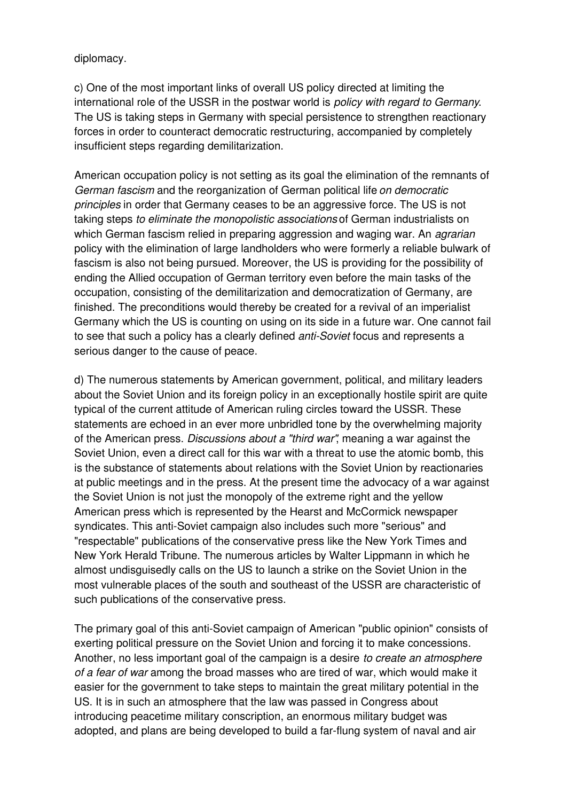diplomacy.

c) One of the most important links of overall US policy directed at limiting the international role of the USSR in the postwar world is *policy with regard to Germany*. The US is taking steps in Germany with special persistence to strengthen reactionary forces in order to counteract democratic restructuring, accompanied by completely insufficient steps regarding demilitarization.

American occupation policy is not setting as its goal the elimination of the remnants of *German fascism* and the reorganization of German political life *on democratic principles* in order that Germany ceases to be an aggressive force. The US is not taking steps *to eliminate the monopolistic associations* of German industrialists on which German fascism relied in preparing aggression and waging war. An *agrarian* policy with the elimination of large landholders who were formerly a reliable bulwark of fascism is also not being pursued. Moreover, the US is providing for the possibility of ending the Allied occupation of German territory even before the main tasks of the occupation, consisting of the demilitarization and democratization of Germany, are finished. The preconditions would thereby be created for a revival of an imperialist Germany which the US is counting on using on its side in a future war. One cannot fail to see that such a policy has a clearly defined *anti-Soviet* focus and represents a serious danger to the cause of peace.

d) The numerous statements by American government, political, and military leaders about the Soviet Union and its foreign policy in an exceptionally hostile spirit are quite typical of the current attitude of American ruling circles toward the USSR. These statements are echoed in an ever more unbridled tone by the overwhelming majority of the American press. *Discussions about a "third war"*, meaning a war against the Soviet Union, even a direct call for this war with a threat to use the atomic bomb, this is the substance of statements about relations with the Soviet Union by reactionaries at public meetings and in the press. At the present time the advocacy of a war against the Soviet Union is not just the monopoly of the extreme right and the yellow American press which is represented by the Hearst and McCormick newspaper syndicates. This anti-Soviet campaign also includes such more "serious" and "respectable" publications of the conservative press like the New York Times and New York Herald Tribune. The numerous articles by Walter Lippmann in which he almost undisguisedly calls on the US to launch a strike on the Soviet Union in the most vulnerable places of the south and southeast of the USSR are characteristic of such publications of the conservative press.

The primary goal of this anti-Soviet campaign of American "public opinion" consists of exerting political pressure on the Soviet Union and forcing it to make concessions. Another, no less important goal of the campaign is a desire *to create an atmosphere of a fear of war* among the broad masses who are tired of war, which would make it easier for the government to take steps to maintain the great military potential in the US. It is in such an atmosphere that the law was passed in Congress about introducing peacetime military conscription, an enormous military budget was adopted, and plans are being developed to build a far-flung system of naval and air